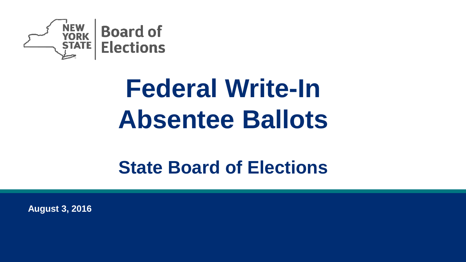

# **Federal Write-In Absentee Ballots**

### **State Board of Elections**

**August 3, 2016**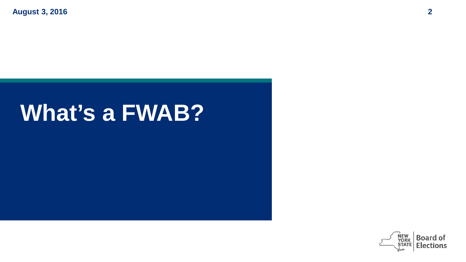## **What's a FWAB?**

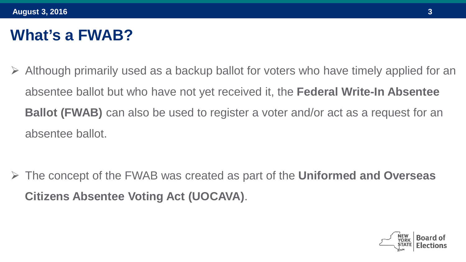#### **What's a FWAB?**

 Although primarily used as a backup ballot for voters who have timely applied for an absentee ballot but who have not yet received it, the **Federal Write-In Absentee Ballot (FWAB)** can also be used to register a voter and/or act as a request for an absentee ballot.

 The concept of the FWAB was created as part of the **Uniformed and Overseas Citizens Absentee Voting Act (UOCAVA)**.

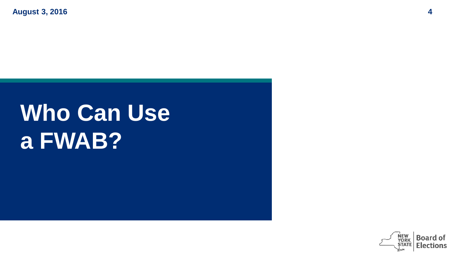# **Who Can Use a FWAB?**

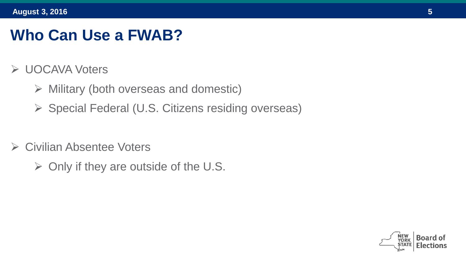#### **Who Can Use a FWAB?**

- **► UOCAVA Voters** 
	- $\triangleright$  Military (both overseas and domestic)
	- $\triangleright$  Special Federal (U.S. Citizens residing overseas)
- **► Civilian Absentee Voters** 
	- $\triangleright$  Only if they are outside of the U.S.

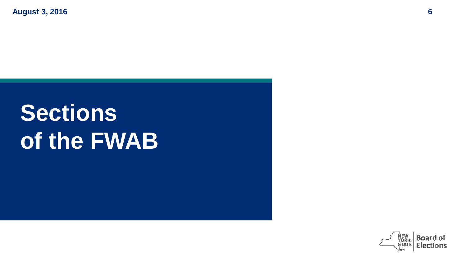# **Sections of the FWAB**

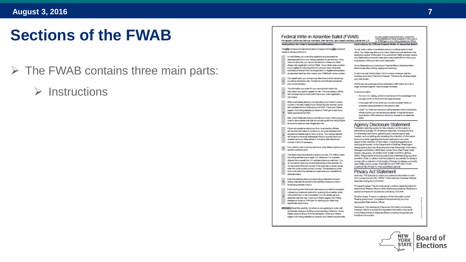#### **Sections of the FWAB**

- $\triangleright$  The FWAB contains three main parts:
	- $\triangleright$  Instructions

#### Federal Write-in Absentee Ballot (FWAB) For any questions about this form, consult the Voting Assistance Guide evalable in hard copy or For absent Uniformed Service members, their families, and citizens residing outside the U.S. on FVAP.gov or your Voting Assistance Officer. Instructions for Voter's Declaration & Mirmation Instructions for Official Federal Write-In Absentee Ballot The gray numbers and instructions below correspond to the gray numbered To yote, wite in either a candidate's name or a political party for each boxes on the face of the form. office. Vour State may allow until in site is State and local abortone in the Arklendum section of this hallot. If you submit the FWAR and later receive In most States, you must have recistered and recreated anyour State ballot you should make every reasonable effort to inform your sheerine ballot from your voting jurisdiction to use this form. If you local election office and return your State ballot. have not done this, you cannot use this form unless your State allows what recisionize via the FWAR. If your State does not allow Orang Olaton allows you to panel your England Willia, in Abganton Ballot uncerting manipular for contacciation this forms and uncertains not already. electronically after printing, signing and scanning. submitted a Federal Post Card Anglication or recistered/requested an absentee ballot by other means, your FWAB will not be counted. To return by mail, fold the ballot. Put it in a blank envelope, seal the envelope, and mark it "Security Envelope." This security envelope keeps The classification were homes may determine in which election(s) sourcede releate you will be allowed to yote. Choose the one that best represents your current situation. Put the security envelope and the Declaration / Affirmation form into a larger envelope together. Seal the larger envelope. The information you enter for your name should match the information unconsect to register to unter The local election official To send your belot who receives this form will match this to your voter recistration · For non-U.S. mailing, put the correct amount of local postage in the information. top right corner on the front of the large envelope. While most States allowanc to enter either your Driver's License. - In the unperiod corner entervoir corner consider military or number or the last 4 digits of your Social Security Number, some overseas mailing address and the election date. will invesidate this form without your full RRN. Check your Rtate's . Under "To," enter the name and mailing address of the local election pages in the Voting Assistance Guide on FVAP.gov to see if your State requires the full SSN. official to whom you are sending the packet. It must be the same local election office where you sent your request for an absentee Also, many States ask that you provide your race or ethnic group in *<u>Seattless</u>* order to demonstrate that they are complying with the Voting Rights Act and the National Voter Registration Act. **Agency Disclosure Statement** If there are questions about your form, local election officials The public reporting burden for this collection of information is estimated to average 15 minutes per response, including the time will use this information to contact you. An email address is the for reviewing instructions, gathering and maintaining the data simplest and fastest way for them to do so. Your voting materials will be sent to the email addressies) that you provide here if you needed, and completing and reviewing the collection of information. request it and your State allows it. Include an alternate phone Send comments regarding this burden estimate or any other aspect of this collection of information, including suggestions for number in Box 0 if necessary. reducing the burden, to the Department of Defense, Washington If you want to vote in primary elections, most States require you to Headquarters Services, Executive Services Directorate, Information specify a political party. Management Division, 4800 Mark Center Drive, East Tower, Suite 02009. Alexandria, VA 22350-3100. [OMB CONTROL #0704-This determines the jurisdiction where you vote. For military voters 0502]. Respondents should be aware that notwithstanding any other the voting address is your legal U.S. residence. For overseas provision of law, no person shall be subject to any penalty for failing to efficiency this is narrath that I.R. address where you last lived. You completed to a collection of information if it does not display a currently do not need to have any current physical ties to this address. Do valid OMB control number. PLEASE DO NOT RETURN YOUR not use a post office box number. If the area has no street names, COMPLETED FORM TO THE ADDRESS ABOVE. enter the route number and box number. The address you enter here must match the address you used when you requested an **Privacy Act Statement** absentee bailot Authority. The authority to collect your personal information on this form comes from 42 USC 1973ff, "Uniformed and Overseas Citizens Enter the address where you want voting materials to be sent. Absentee Voting Act (UCCAVA)\* Voting materials will be sent to this address unless you enter a forwarding address in Bax 9. Principal Purpose: This form serves as a write in absentee ballot for elections for Federal office or other elections provided by State law or Enter anything here that would help ensure your ballot is accepted. special provisions for all persons covered by UOCAVA. Indicate your preferred method for receiving future ballots: email, online download, or fax if requested. You can always get your Routine Use(s): There is no retention of this information by the absentee ballot by mail. Check your State's pages in the Voting Federal government. Completed forms are sent by you to an Assistance Guide on FVAP.gov for anything your State may appropriate State election official. specifically require here. Disclosure: Your disclosure of personal information is voluntary. Affirmation Read this carefully. It is what you are acreeing to under oath However, failure to provide the requested information may result and penalty of periury by filling out and sending in this form. Some in the Federal Write- in Absentee Ballot not being recognized and States require that your form be witnessed. Check your State's therefore not counted. pages in the Voting Assistance Guide for your State's requirements **NEW Board o YORK**

**STATE**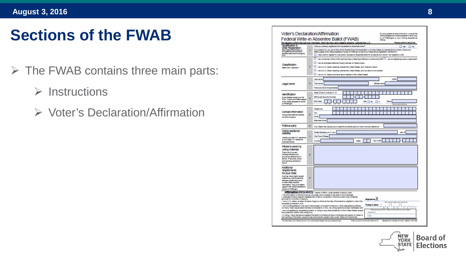#### **Sections of the FWAB**

- $\triangleright$  The FWAB contains three main parts:
	- $\triangleright$  Instructions
	- Voter's Declaration/Affirmation

| Qualification &                                                                   | ٠              | For absent Uniformed Service members, their families, and citizens residing outside the U.S.<br>Please print in black ink.<br>Have you sineady registered and requested an absentee ballot?<br><b>TYME</b> No                                   |
|-----------------------------------------------------------------------------------|----------------|-------------------------------------------------------------------------------------------------------------------------------------------------------------------------------------------------------------------------------------------------|
| Voter Registration<br>Many States Regins that you<br>be registered and request an |                | If you answer No, you can do this via the Federal Post Card Application, or in a few States, by marking the box below. Check your                                                                                                               |
| absentee ballot before using this<br><b>Angeles</b>                               |                | State's pages in the Voting Assistance Guide on FVAP gov to see if your State allows registration via this form.<br>I since went to register to vote and/or request an absentee ballot for all elections in which I am eligible to vote.        |
|                                                                                   |                | I am a member of the Uniformed Services or Merchant Marine on active duty OR [11] I am an eligible spouse or dependent.                                                                                                                         |
|                                                                                   | 2              | I am an activated National Guard member on State orders.                                                                                                                                                                                        |
| Classification<br>Make only 1 selection.                                          |                | I am a U.S. different residing outside the United States, and I intend to return.                                                                                                                                                               |
|                                                                                   |                | I am a U.S. dition residing outside the United States, and my return is not certain.                                                                                                                                                            |
|                                                                                   |                | I am a U.S. officen and have never resided in the United States.                                                                                                                                                                                |
|                                                                                   | з              | <b>Suffs</b><br>Lestname                                                                                                                                                                                                                        |
| Legal name                                                                        |                | Firstname<br><b>Middle name</b>                                                                                                                                                                                                                 |
|                                                                                   |                | Previous name (if applicable)                                                                                                                                                                                                                   |
| <b>Identification</b>                                                             | $\overline{A}$ | State Driver's License or LD                                                                                                                                                                                                                    |
| Some States require your full                                                     |                | <b>OR Social Security Number</b>                                                                                                                                                                                                                |
| SSN. Checkyour State's pages<br>In the Voting Assistance Guide                    |                | <b>Birth data</b><br><b>Black</b><br><b>Best</b><br><b>DM</b><br>⊓.                                                                                                                                                                             |
| on FVAP.gov.                                                                      |                |                                                                                                                                                                                                                                                 |
| Contact Information                                                               | s              | Telephone                                                                                                                                                                                                                                       |
| Include International prefixes.                                                   |                | Fax<br>Email                                                                                                                                                                                                                                    |
| No DSN numbers.                                                                   |                | <b>Alternate Ernall</b>                                                                                                                                                                                                                         |
|                                                                                   |                |                                                                                                                                                                                                                                                 |
| Political party                                                                   | 6              | Your State may require you to specify a political party to vote in primary elections:                                                                                                                                                           |
| Voting residence<br>address                                                       | 7              | Street Address Inst P.O. Roof<br>Ant 6                                                                                                                                                                                                          |
| Usually your last U.S. realdence                                                  |                | <b>Chritown/Vilson</b>                                                                                                                                                                                                                          |
| crycuriegal U.S. residence.<br>See Instructions                                   |                | Zip Code<br>Courty<br><b>State</b>                                                                                                                                                                                                              |
| Where to send my                                                                  |                |                                                                                                                                                                                                                                                 |
| voting materials<br>This is your ourrent                                          |                |                                                                                                                                                                                                                                                 |
| mailing address and<br>should be different from                                   | $\mathbf{r}$   |                                                                                                                                                                                                                                                 |
| sboys. If required, place                                                         |                |                                                                                                                                                                                                                                                 |
| a forwarding address in<br>Bes 9.                                                 |                |                                                                                                                                                                                                                                                 |
| Additional                                                                        |                |                                                                                                                                                                                                                                                 |
| regulrements<br>for your State                                                    |                |                                                                                                                                                                                                                                                 |
| Such as: future ballot receipt                                                    | ä              |                                                                                                                                                                                                                                                 |
| preference, mail forwarding<br>address, additional phone,                         |                |                                                                                                                                                                                                                                                 |
| or other State required<br>Information. See your State's                          |                |                                                                                                                                                                                                                                                 |
| pages in the Voting Assistance<br>Guide on FVAP.gov                               |                |                                                                                                                                                                                                                                                 |
|                                                                                   |                | Affirmation (REQUIRED): I aware or affirm, under penalty of perjury, that<br>- The information on this form is true, accurate, and complete to the best of my knowledge.                                                                        |
| grounds for conviction of partury.                                                |                | I understand that a material misstatement of fact in completion of this document may constitute<br>Slanature X                                                                                                                                  |
|                                                                                   |                | - I am a U.S. citizen, at least 18 years of age (or will be by the day of the election), eligible to vote in the<br>You must sign and send in.                                                                                                  |
| requested jurisdiction, and                                                       |                | <b>Today's date</b><br>- I am not disqualified to vote due to having been convicted of a felony or other disqualifying offense,                                                                                                                 |
|                                                                                   |                | $\overline{u}$<br>nor have I been adjudicated mentally incompetent; or if so, my voting rights have been reinstated; and<br>M.<br>- I am not registering, requesting a ballot, or voting in any other jurisdiction in the United States, except |
| the jurisdiction cited in this voting form.                                       |                | Signature<br>- In voting, I have marked and sealed this ballot in private and have not allowed any person to observe<br>Date                                                                                                                    |

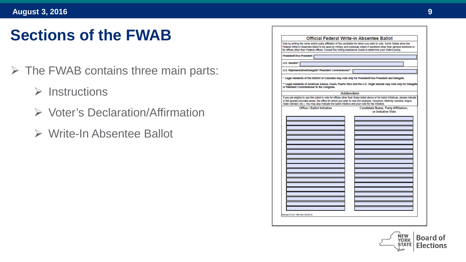#### **Sections of the FWAB**

- $\triangleright$  The FWAB contains three main parts:
	- $\triangleright$  Instructions
	- ▶ Voter's Declaration/Affirmation
	- Write-In Absentee Ballot

|                                                                                                                                                     | Official Federal Write-in Absentee Ballot                                                                                                                                                                                                                   |
|-----------------------------------------------------------------------------------------------------------------------------------------------------|-------------------------------------------------------------------------------------------------------------------------------------------------------------------------------------------------------------------------------------------------------------|
| for offices other than Federal offices. Consult the Voting Assistance Guide to determine your State's policy.                                       | Vote by writing the name and/or party affiliation of the candidate for whom you wish to vote. Some States allow the<br>Federal Wifte-In Absentee Ballot to be used by military and overseas voters in elections other than general elections or             |
| President/Vice President: [                                                                                                                         |                                                                                                                                                                                                                                                             |
| U.S. Senator*:                                                                                                                                      |                                                                                                                                                                                                                                                             |
| U.S. Representative/Delegate**/Resident Commissioner**:                                                                                             |                                                                                                                                                                                                                                                             |
| * Legal residents of the District of Columbia may vote only for President/Vice President and Delegate.<br>or Resident Commissioner to the Congress. | ** Legal residents of American Samoa, Guam, Puerto Rico and the U.S. Virgin Islands may vote only for Delegate                                                                                                                                              |
|                                                                                                                                                     | Addendum                                                                                                                                                                                                                                                    |
| State Senator, etc.). You may also indicate the ballot intiative and your vote for the initiative.                                                  | If you are eligible to use this ballot to vote for offices other than those listed above or for ballot initiatives, please indicate<br>In the spaces provided below, the office for which you wish to vote (for example: Governor, Attorney General, Mayor, |
| <b>Office / Ballot Initiative</b>                                                                                                                   | <b>Candidate Name, Party Affiliation,</b><br>or Initiative Vote                                                                                                                                                                                             |
|                                                                                                                                                     |                                                                                                                                                                                                                                                             |
|                                                                                                                                                     |                                                                                                                                                                                                                                                             |
|                                                                                                                                                     |                                                                                                                                                                                                                                                             |
|                                                                                                                                                     |                                                                                                                                                                                                                                                             |
|                                                                                                                                                     |                                                                                                                                                                                                                                                             |
|                                                                                                                                                     |                                                                                                                                                                                                                                                             |
|                                                                                                                                                     |                                                                                                                                                                                                                                                             |
|                                                                                                                                                     |                                                                                                                                                                                                                                                             |
|                                                                                                                                                     |                                                                                                                                                                                                                                                             |
|                                                                                                                                                     |                                                                                                                                                                                                                                                             |
|                                                                                                                                                     |                                                                                                                                                                                                                                                             |
|                                                                                                                                                     |                                                                                                                                                                                                                                                             |
|                                                                                                                                                     |                                                                                                                                                                                                                                                             |
|                                                                                                                                                     |                                                                                                                                                                                                                                                             |
|                                                                                                                                                     |                                                                                                                                                                                                                                                             |
|                                                                                                                                                     |                                                                                                                                                                                                                                                             |
|                                                                                                                                                     |                                                                                                                                                                                                                                                             |
|                                                                                                                                                     |                                                                                                                                                                                                                                                             |
|                                                                                                                                                     |                                                                                                                                                                                                                                                             |
| Itandard Form 188 (Rev 08-2013)                                                                                                                     |                                                                                                                                                                                                                                                             |

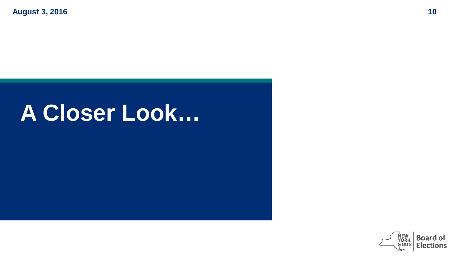### **A Closer Look…**

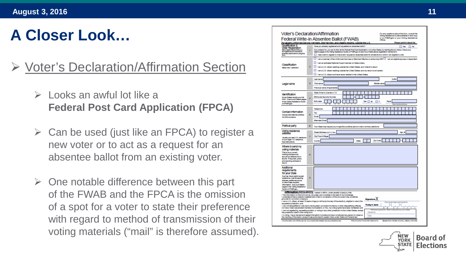#### Voter's Declaration/Affirmation Section

- $\triangleright$  Looks an awful lot like a **Federal Post Card Application (FPCA)**
- $\triangleright$  Can be used (just like an FPCA) to register a new voter or to act as a request for an absentee ballot from an existing voter.
- $\triangleright$  One notable difference between this part of the FWAB and the FPCA is the omission of a spot for a voter to state their preference with regard to method of transmission of their voting materials ("mail" is therefore assumed).

|                                                                                                                                                                                                                                                                 | or on FVAP.gov or your Voting Assistance<br>Federal Write-in Absentee Ballot (FWAB)<br>Officer.<br>For absent Uniformed Service members, their families, and citizens residing outside the U.S.<br>Please print in black ink.                                                                                                                                                                                                                                                                                                                                                                                                                                                                                                                                                                                                                                                                                                                                                 |  |  |
|-----------------------------------------------------------------------------------------------------------------------------------------------------------------------------------------------------------------------------------------------------------------|-------------------------------------------------------------------------------------------------------------------------------------------------------------------------------------------------------------------------------------------------------------------------------------------------------------------------------------------------------------------------------------------------------------------------------------------------------------------------------------------------------------------------------------------------------------------------------------------------------------------------------------------------------------------------------------------------------------------------------------------------------------------------------------------------------------------------------------------------------------------------------------------------------------------------------------------------------------------------------|--|--|
| Qualification &<br>Voter Registration<br>Many States Registration<br>absentee ballot before using this<br><b>Some</b>                                                                                                                                           | Have you already registered and requested an absentee ballot?<br><b>TYME</b> No<br>If you answer No, you can do this via the Federal Post Card Application, or in a few States, by marking the box below. Check your<br>State's pages in the Voting Assistance Guide on FVAP.gov to see if your State allows registration via this form.<br>п<br>I also want to register to vote and/or request an absentee ballot for all elections in which I am eligible to vote.                                                                                                                                                                                                                                                                                                                                                                                                                                                                                                          |  |  |
| Classification<br>Make only 1 selection.                                                                                                                                                                                                                        | I am a member of the Uniformed Services or Merchant Marine on active duty OR [11] I am an eligible spouse or dependent.<br>I am an activated National Guard member on State orders.<br>I am a U.S. different residing outside the United States, and I intend to return.<br>I am a U.S. others residing outside the United States, and my return is not certain.<br>I am a U.S. ditcen and have never resided in the United States.                                                                                                                                                                                                                                                                                                                                                                                                                                                                                                                                           |  |  |
| Legal name                                                                                                                                                                                                                                                      | <b>Suffs</b><br>Lestname<br>Findmanne<br>Middle name<br>Previous name (if applicable)                                                                                                                                                                                                                                                                                                                                                                                                                                                                                                                                                                                                                                                                                                                                                                                                                                                                                         |  |  |
| <b>Identification</b><br>Some States require your full<br>SSN. Checkyour State's pages<br>In the Voting Assistance Guide<br>on FVAP.cov.                                                                                                                        | State Driver's License or LD.<br><b>OR Social Security Number</b><br>Rape<br><b>Birth data</b><br><b>Sex</b><br>٠                                                                                                                                                                                                                                                                                                                                                                                                                                                                                                                                                                                                                                                                                                                                                                                                                                                             |  |  |
| Contact Information<br>Include International prefixes<br>No DSN numbers.                                                                                                                                                                                        | Telephone<br>Fax<br>Email<br><b>Alternate Email</b>                                                                                                                                                                                                                                                                                                                                                                                                                                                                                                                                                                                                                                                                                                                                                                                                                                                                                                                           |  |  |
| Political party                                                                                                                                                                                                                                                 | Your State may require you to specify a political party to vote in primary elections:                                                                                                                                                                                                                                                                                                                                                                                                                                                                                                                                                                                                                                                                                                                                                                                                                                                                                         |  |  |
| Voting residence<br>address<br>Usually your last U.S. residence<br>cryourlegal U.S. residence.<br>See Instructions                                                                                                                                              | Street Address Inst P.O. Rock<br>Ant. 6<br>City/Town/Vilage<br>Zip Code<br>Courty<br><b>State</b>                                                                                                                                                                                                                                                                                                                                                                                                                                                                                                                                                                                                                                                                                                                                                                                                                                                                             |  |  |
| Where to send my<br>voting materials<br>This is your ourner!<br>mailing address and<br>should be different from<br>above. If required, place<br>a forwarding address in<br>Bex 9.                                                                               |                                                                                                                                                                                                                                                                                                                                                                                                                                                                                                                                                                                                                                                                                                                                                                                                                                                                                                                                                                               |  |  |
| Additional<br>regulrements<br>for your State<br>Such as: future ballot receipt<br>preference, mail forwarding<br>address, additional phone,<br>or other State required<br>Information, See your State's<br>pages in the Voting Assistance<br>Guide on FVAP.gov. |                                                                                                                                                                                                                                                                                                                                                                                                                                                                                                                                                                                                                                                                                                                                                                                                                                                                                                                                                                               |  |  |
| grounds for conviction of parjury.<br>requested jurisdiction, and<br>the jurisdiction cited in this voting form.<br>the marking of this ballot, except those authorized to assist voters under State and Federal law                                            | Affirmation (REQUIRED). I wear or aften, under paraty of parjury, that<br>- The information on this form is true, accurate, and complete to the basi of my knowledge.<br>I understand that a material misstatement of fact in completion of this document may constitute<br><b>Signature</b> X<br>- I am a U.S. citizen, at least 15 years of age (or will be by the day of the election), eligible to vote in the<br>You must sign and send in.<br>ı.<br><b>Today's date</b><br>- I am not disqualified to vote due to having been convicted of a felony or other disqualifying offense,<br>nor have I been adjudicated mentally incompetent; or if so, my voting rights have been reinstated; and<br><b>VETWAR</b><br>- I am not registering, requesting a ballot, or voting in any other jurisdiction in the United States, except<br>LFW.<br>Signature<br>- In voting, I have marked and sealed this ballot in private and have not allowed any person to observe<br>Date |  |  |

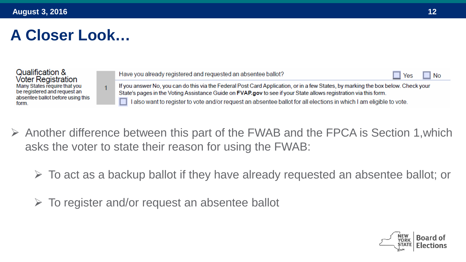Qualification & **Voter Registration** Many States require that you be registered and request an absentee ballot before using this form.

Have you already registered and requested an absentee ballot? **No** Yes If you answer No, you can do this via the Federal Post Card Application, or in a few States, by marking the box below. Check your State's pages in the Voting Assistance Guide on FVAP.gov to see if your State allows registration via this form. I also want to register to vote and/or request an absentee ballot for all elections in which I am eligible to vote.

 $\triangleright$  Another difference between this part of the FWAB and the FPCA is Section 1, which asks the voter to state their reason for using the FWAB:

 $\triangleright$  To act as a backup ballot if they have already requested an absentee ballot; or

 $\triangleright$  To register and/or request an absentee ballot

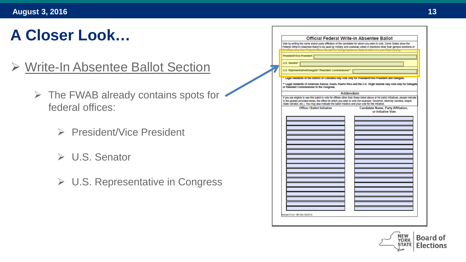- Write-In Absentee Ballot Section
	- $\triangleright$  The FWAB already contains spots for  $\cdot$ federal offices:
		- ▶ President/Vice President
		- U.S. Senator
		- **► U.S. Representative in Congress**

| Vote by writing the name and/or party affiliation of the candidate for whom you wish to vote. Some States allow the                                                                                                                                                                                                                                               |          | Official Federal Write-in Absentee Ballot                                                               |  |
|-------------------------------------------------------------------------------------------------------------------------------------------------------------------------------------------------------------------------------------------------------------------------------------------------------------------------------------------------------------------|----------|---------------------------------------------------------------------------------------------------------|--|
| Federal Witte-In Absentee Ballot to be used by military and overseas voters in elections other than general elections or                                                                                                                                                                                                                                          |          |                                                                                                         |  |
|                                                                                                                                                                                                                                                                                                                                                                   |          | mode de la eman i quante omnoce. Compan ano voenign aproximito, cialdo lo docennino your Claro o poney. |  |
| President/Vice President:                                                                                                                                                                                                                                                                                                                                         |          |                                                                                                         |  |
| U.S. Senator*:                                                                                                                                                                                                                                                                                                                                                    |          |                                                                                                         |  |
| U.S. Representative/Delegate**/Resident Commissioner**:                                                                                                                                                                                                                                                                                                           |          |                                                                                                         |  |
| . Legal residents of the District of Columbia may vote only for President/Vice President and Delegate.                                                                                                                                                                                                                                                            |          |                                                                                                         |  |
| ** Legal residents of American Samoa, Guam, Puerto Rico and the U.S. Virgin Islands may vote only for Delegate<br>or Resident Commissioner to the Congress.                                                                                                                                                                                                       |          |                                                                                                         |  |
|                                                                                                                                                                                                                                                                                                                                                                   | Addendum |                                                                                                         |  |
| If you are eligible to use this ballot to vote for offices other than those listed above or for ballot initiatives, please indicate<br>In the spaces provided below, the office for which you wish to vote (for example: Governor, Attorney General, Mayor,<br>State Senator, etc.). You may also indicate the ballot intiative and your vote for the initiative. |          |                                                                                                         |  |
| <b>Office / Ballot Initiative</b>                                                                                                                                                                                                                                                                                                                                 |          | <b>Candidate Name, Party Affiliation.</b><br>or Initiative Vote                                         |  |
|                                                                                                                                                                                                                                                                                                                                                                   |          |                                                                                                         |  |
|                                                                                                                                                                                                                                                                                                                                                                   |          |                                                                                                         |  |
|                                                                                                                                                                                                                                                                                                                                                                   |          |                                                                                                         |  |
|                                                                                                                                                                                                                                                                                                                                                                   |          |                                                                                                         |  |
|                                                                                                                                                                                                                                                                                                                                                                   |          |                                                                                                         |  |
|                                                                                                                                                                                                                                                                                                                                                                   |          |                                                                                                         |  |
|                                                                                                                                                                                                                                                                                                                                                                   |          |                                                                                                         |  |
|                                                                                                                                                                                                                                                                                                                                                                   |          |                                                                                                         |  |
|                                                                                                                                                                                                                                                                                                                                                                   |          |                                                                                                         |  |
|                                                                                                                                                                                                                                                                                                                                                                   |          |                                                                                                         |  |
|                                                                                                                                                                                                                                                                                                                                                                   |          |                                                                                                         |  |
|                                                                                                                                                                                                                                                                                                                                                                   |          |                                                                                                         |  |
|                                                                                                                                                                                                                                                                                                                                                                   |          |                                                                                                         |  |
|                                                                                                                                                                                                                                                                                                                                                                   |          |                                                                                                         |  |
|                                                                                                                                                                                                                                                                                                                                                                   |          |                                                                                                         |  |
|                                                                                                                                                                                                                                                                                                                                                                   |          |                                                                                                         |  |
|                                                                                                                                                                                                                                                                                                                                                                   |          |                                                                                                         |  |
|                                                                                                                                                                                                                                                                                                                                                                   |          |                                                                                                         |  |
|                                                                                                                                                                                                                                                                                                                                                                   |          |                                                                                                         |  |
|                                                                                                                                                                                                                                                                                                                                                                   |          |                                                                                                         |  |

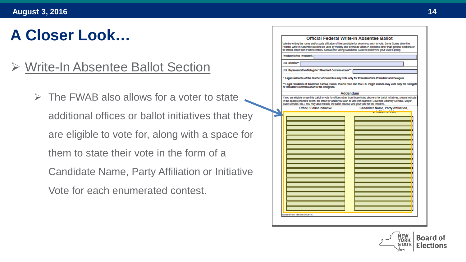#### Write-In Absentee Ballot Section

 $\triangleright$  The FWAB also allows for a voter to state additional offices or ballot initiatives that they are eligible to vote for, along with a space for them to state their vote in the form of a Candidate Name, Party Affiliation or Initiative Vote for each enumerated contest.

| for offices other than Federal offices. Consult the Voting Assistance Guide to determine your State's policy, | Vote by writing the name and/or party affiliation of the candidate for whom you wish to vote. Some States allow the<br>Federal Wifte-In Absentee Ballot to be used by military and overseas voters in elections other than general elections or             |
|---------------------------------------------------------------------------------------------------------------|-------------------------------------------------------------------------------------------------------------------------------------------------------------------------------------------------------------------------------------------------------------|
| President/Vice President:                                                                                     |                                                                                                                                                                                                                                                             |
| U.S. Senator*:                                                                                                |                                                                                                                                                                                                                                                             |
| U.S. Representative/Delegate**/Resident Commissioner**:                                                       |                                                                                                                                                                                                                                                             |
| or Resident Commissioner to the Congress.                                                                     | * Legal residents of the District of Columbia may vote only for President/Vice President and Delegate.<br>** Legal residents of American Samoa, Guam, Puerto Rico and the U.S. Virgin Islands may vote only for Delegate                                    |
|                                                                                                               | Addendum                                                                                                                                                                                                                                                    |
| State Senator, etc.). You may also indicate the ballot intiative and your vote for the initiative.            | If you are eligible to use this ballot to vote for offices other than those listed above or for ballot initiatives, please indicate<br>In the spaces provided below, the office for which you wish to vote (for example: Governor, Attorney General, Mayor, |
| <b>Office / Ballot Initiative</b>                                                                             | <b>Candidate Name, Party Affiliation,</b>                                                                                                                                                                                                                   |
|                                                                                                               |                                                                                                                                                                                                                                                             |
| Standard Form 188 (Rev 08-2013)                                                                               |                                                                                                                                                                                                                                                             |

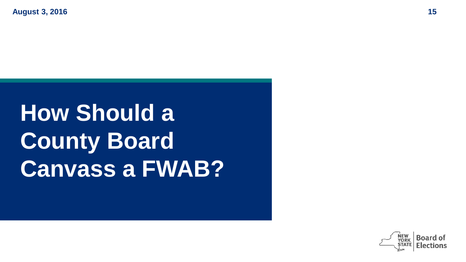# **How Should a County Board Canvass a FWAB?**

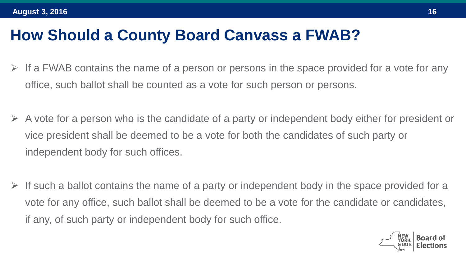#### **How Should a County Board Canvass a FWAB?**

- If a FWAB contains the name of a person or persons in the space provided for a vote for any office, such ballot shall be counted as a vote for such person or persons.
- A vote for a person who is the candidate of a party or independent body either for president or vice president shall be deemed to be a vote for both the candidates of such party or independent body for such offices.
- If such a ballot contains the name of a party or independent body in the space provided for a vote for any office, such ballot shall be deemed to be a vote for the candidate or candidates, if any, of such party or independent body for such office.

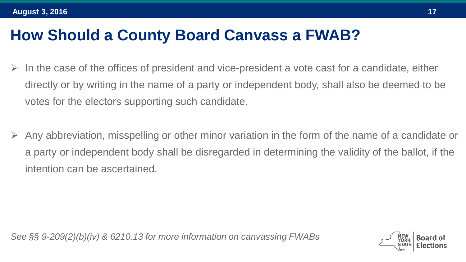#### **How Should a County Board Canvass a FWAB?**

- In the case of the offices of president and vice-president a vote cast for a candidate, either directly or by writing in the name of a party or independent body, shall also be deemed to be votes for the electors supporting such candidate.
- Any abbreviation, misspelling or other minor variation in the form of the name of a candidate or a party or independent body shall be disregarded in determining the validity of the ballot, if the intention can be ascertained.

*See §§ 9-209(2)(b)(iv) & 6210.13 for more information on canvassing FWABs*

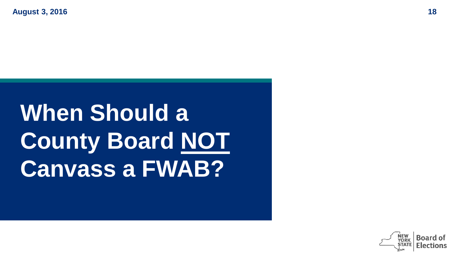**When Should a County Board NOT Canvass a FWAB?**

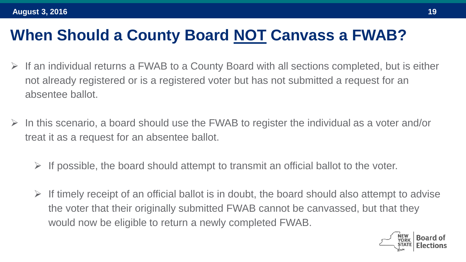#### **When Should a County Board NOT Canvass a FWAB?**

- $\triangleright$  If an individual returns a FWAB to a County Board with all sections completed, but is either not already registered or is a registered voter but has not submitted a request for an absentee ballot.
- In this scenario, a board should use the FWAB to register the individual as a voter and/or treat it as a request for an absentee ballot.
	- $\triangleright$  If possible, the board should attempt to transmit an official ballot to the voter.
	- $\triangleright$  If timely receipt of an official ballot is in doubt, the board should also attempt to advise the voter that their originally submitted FWAB cannot be canvassed, but that they would now be eligible to return a newly completed FWAB.

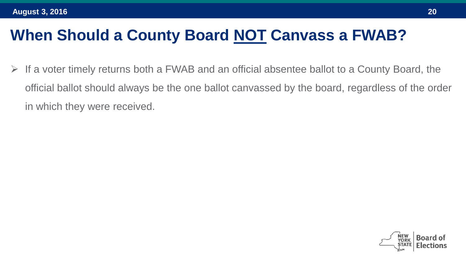#### **When Should a County Board NOT Canvass a FWAB?**

 $\triangleright$  If a voter timely returns both a FWAB and an official absentee ballot to a County Board, the official ballot should always be the one ballot canvassed by the board, regardless of the order in which they were received.

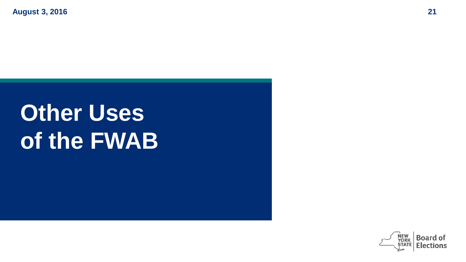# **Other Uses of the FWAB**

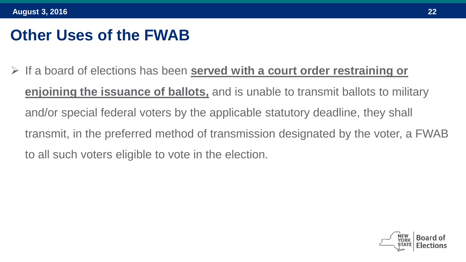#### **Other Uses of the FWAB**

 If a board of elections has been **served with a court order restraining or enjoining the issuance of ballots,** and is unable to transmit ballots to military and/or special federal voters by the applicable statutory deadline, they shall transmit, in the preferred method of transmission designated by the voter, a FWAB to all such voters eligible to vote in the election.

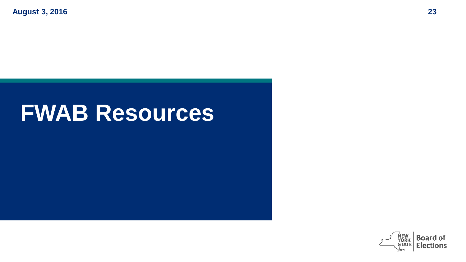### **FWAB Resources**

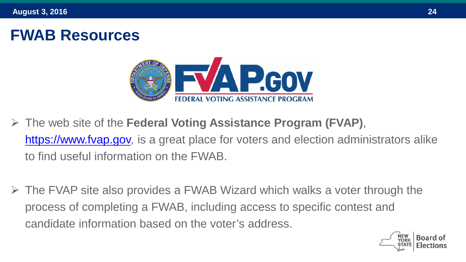#### **FWAB Resources**



- The web site of the **Federal Voting Assistance Program (FVAP)**, [https://www.fvap.gov,](https://www.fvap.gov/) is a great place for voters and election administrators alike to find useful information on the FWAB.
- $\triangleright$  The FVAP site also provides a FWAB Wizard which walks a voter through the process of completing a FWAB, including access to specific contest and candidate information based on the voter's address.